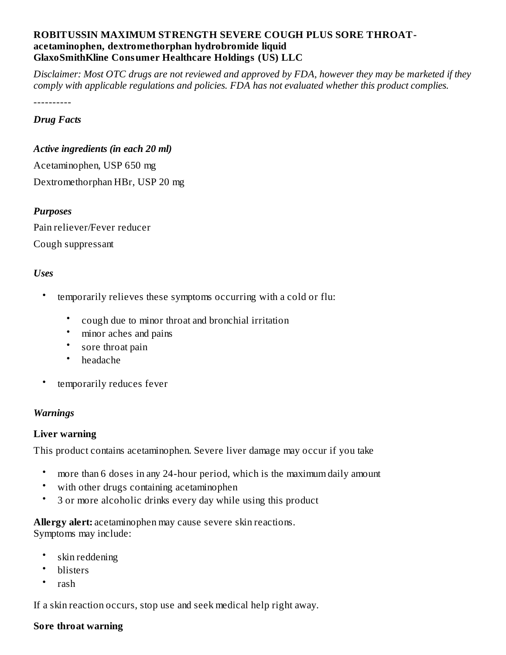#### **ROBITUSSIN MAXIMUM STRENGTH SEVERE COUGH PLUS SORE THROATacetaminophen, dextromethorphan hydrobromide liquid GlaxoSmithKline Consumer Healthcare Holdings (US) LLC**

Disclaimer: Most OTC drugs are not reviewed and approved by FDA, however they may be marketed if they *comply with applicable regulations and policies. FDA has not evaluated whether this product complies.*

----------

#### *Drug Facts*

#### *Active ingredients (in each 20 ml)*

Acetaminophen, USP 650 mg Dextromethorphan HBr, USP 20 mg

### *Purposes*

Pain reliever/Fever reducer Cough suppressant

### *Uses*

- temporarily relieves these symptoms occurring with a cold or flu:
	- cough due to minor throat and bronchial irritation
	- minor aches and pains
	- sore throat pain
	- headache
- temporarily reduces fever

#### *Warnings*

#### **Liver warning**

This product contains acetaminophen. Severe liver damage may occur if you take

- more than 6 doses in any 24-hour period, which is the maximum daily amount
- with other drugs containing acetaminophen
- 3 or more alcoholic drinks every day while using this product

**Allergy alert:** acetaminophen may cause severe skin reactions. Symptoms may include:

- skin reddening
- blisters
- rash

If a skin reaction occurs, stop use and seek medical help right away.

#### **Sore throat warning**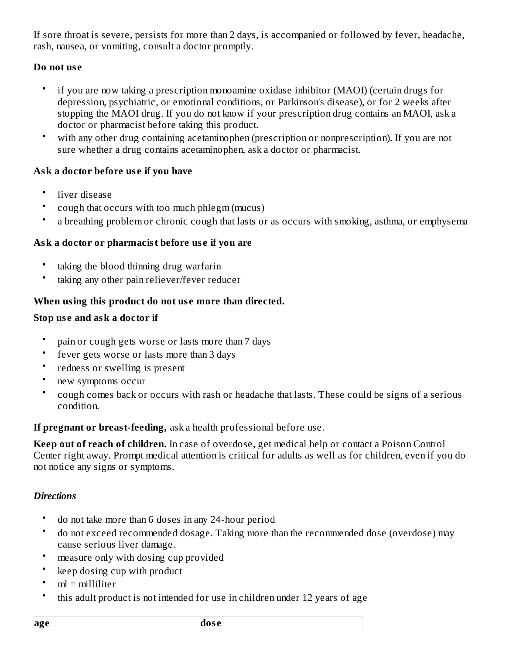If sore throat is severe, persists for more than 2 days, is accompanied or followed by fever, headache, rash, nausea, or vomiting, consult a doctor promptly.

## **Do not us e**

- if you are now taking a prescription monoamine oxidase inhibitor (MAOI) (certain drugs for depression, psychiatric, or emotional conditions, or Parkinson's disease), or for 2 weeks after stopping the MAOI drug. If you do not know if your prescription drug contains an MAOI, ask a doctor or pharmacist before taking this product.
- with any other drug containing acetaminophen (prescription or nonprescription). If you are not sure whether a drug contains acetaminophen, ask a doctor or pharmacist.

## **Ask a doctor before us e if you have**

- liver disease
- cough that occurs with too much phlegm (mucus)
- a breathing problem or chronic cough that lasts or as occurs with smoking, asthma, or emphysema

## **Ask a doctor or pharmacist before us e if you are**

- taking the blood thinning drug warfarin
- taking any other pain reliever/fever reducer

### **When using this product do not us e more than directed.**

### **Stop us e and ask a doctor if**

- pain or cough gets worse or lasts more than 7 days
- fever gets worse or lasts more than 3 days
- redness or swelling is present
- new symptoms occur
- cough comes back or occurs with rash or headache that lasts. These could be signs of a serious condition.

**If pregnant or breast-feeding,** ask a health professional before use.

**Keep out of reach of children.** In case of overdose, get medical help or contact a Poison Control Center right away. Prompt medical attention is critical for adults as well as for children, even if you do not notice any signs or symptoms.

### *Directions*

- do not take more than 6 doses in any 24-hour period
- do not exceed recommended dosage. Taking more than the recommended dose (overdose) may cause serious liver damage.
- measure only with dosing cup provided
- keep dosing cup with product
- $ml = milliliter$
- this adult product is not intended for use in children under 12 years of age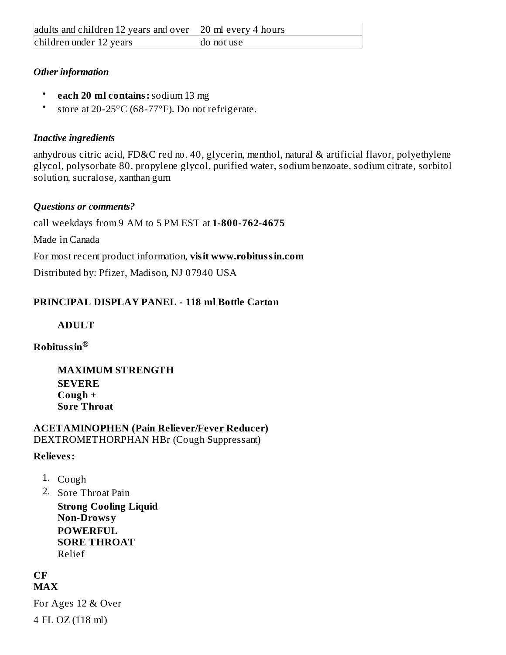## *Other information*

- **each 20 ml contains:**sodium 13 mg
- store at 20-25°C (68-77°F). Do not refrigerate.

## *Inactive ingredients*

anhydrous citric acid, FD&C red no. 40, glycerin, menthol, natural & artificial flavor, polyethylene glycol, polysorbate 80, propylene glycol, purified water, sodium benzoate, sodium citrate, sorbitol solution, sucralose, xanthan gum

## *Questions or comments?*

call weekdays from 9 AM to 5 PM EST at **1-800-762-4675**

Made in Canada

For most recent product information, **visit www.robitussin.com**

Distributed by: Pfizer, Madison, NJ 07940 USA

## **PRINCIPAL DISPLAY PANEL - 118 ml Bottle Carton**

## **ADULT**

## **Robitussin ®**

**MAXIMUM STRENGTH SEVERE Cough + Sore Throat**

#### **ACETAMINOPHEN (Pain Reliever/Fever Reducer)** DEXTROMETHORPHAN HBr (Cough Suppressant)

## **Relieves:**

- 1. Cough
- 2. Sore Throat Pain

**Strong Cooling Liquid Non-Drowsy POWERFUL SORE THROAT** Relief

#### **CF MAX**

For Ages 12 & Over 4 FL OZ (118 ml)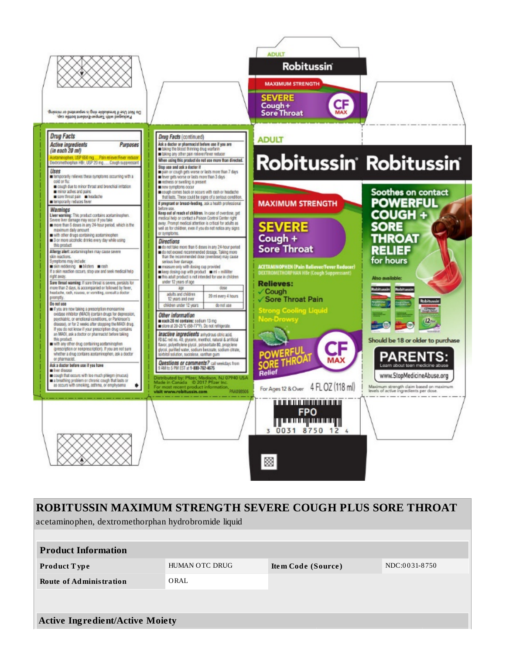

# ROBITUSSIN MAXIMUM STRENGTH SEVERE COUGH PLUS SORE THROAT

acetaminophen, dextromethorphan hydrobromide liquid

| <b>Product Information</b>             |                |                    |               |
|----------------------------------------|----------------|--------------------|---------------|
| <b>Product Type</b>                    | HUMAN OTC DRUG | Item Code (Source) | NDC:0031-8750 |
| <b>Route of Administration</b>         | ORAL           |                    |               |
|                                        |                |                    |               |
| <b>Active Ingredient/Active Moiety</b> |                |                    |               |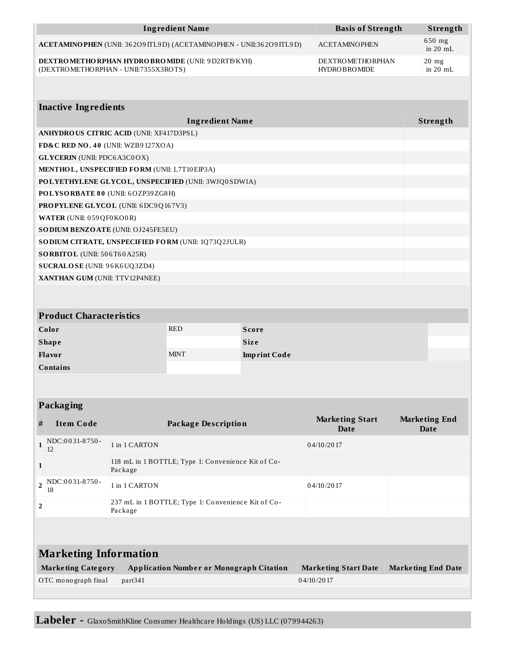| <b>Ingredient Name</b>                                                                                | <b>Basis of Strength</b>                       | Strength                      |
|-------------------------------------------------------------------------------------------------------|------------------------------------------------|-------------------------------|
| ACETAMINO PHEN (UNII: 36209 ITL9D) (ACETAMINO PHEN - UNII:36209 ITL9D)                                | <b>ACETAMINOPHEN</b>                           | $650$ mg<br>in $20$ mL        |
| <b>DEXTRO METHO RPHAN HYDRO BRO MIDE (UNII: 9 D2RTI9 KYH)</b><br>(DEXTROMETHORPHAN - UNII:7355X3ROTS) | <b>DEXTROMETHORPHAN</b><br><b>HYDROBROMIDE</b> | $20 \text{ mg}$<br>in $20$ mL |

| <b>Inactive Ingredients</b>                                 |          |  |
|-------------------------------------------------------------|----------|--|
| <b>Ingredient Name</b>                                      | Strength |  |
| <b>ANHYDROUS CITRIC ACID (UNII: XF417D3PSL)</b>             |          |  |
| FD&C RED NO. 40 (UNII: WZB9127XOA)                          |          |  |
| <b>GLYCERIN</b> (UNII: PDC6A3C0OX)                          |          |  |
| MENTHOL, UNSPECIFIED FORM (UNII: L7T10EIP3A)                |          |  |
| POLYETHYLENE GLYCOL, UNSPECIFIED (UNII: 3WJQ0SDW1A)         |          |  |
| POLYSORBATE 80 (UNII: 6OZP39ZG8H)                           |          |  |
| <b>PROPYLENE GLYCOL (UNII: 6DC9Q167V3)</b>                  |          |  |
| <b>WATER (UNII: 059 QF0 KO0 R)</b>                          |          |  |
| <b>SODIUM BENZOATE (UNII: OJ245FE5EU)</b>                   |          |  |
| <b>SO DIUM CITRATE, UNSPECIFIED FORM (UNII: 1Q73Q2JULR)</b> |          |  |
| <b>SORBITOL</b> (UNII: 506T60A25R)                          |          |  |
| <b>SUCRALOSE</b> (UNII: 96K6UQ3ZD4)                         |          |  |
| XANTHAN GUM (UNII: TTV12P4NEE)                              |          |  |
|                                                             |          |  |

| <b>Product Characteristics</b> |             |                     |  |
|--------------------------------|-------------|---------------------|--|
| Color                          | <b>RED</b>  | <b>Score</b>        |  |
| <b>Shape</b>                   |             | <b>Size</b>         |  |
| <b>Flavor</b>                  | <b>MINT</b> | <b>Imprint Code</b> |  |
| <b>Contains</b>                |             |                     |  |

| #                            | <b>Item Code</b>          | <b>Package Description</b>                                    | <b>Marketing Start</b><br>Date | <b>Marketing End</b><br>Date |  |
|------------------------------|---------------------------|---------------------------------------------------------------|--------------------------------|------------------------------|--|
| $\mathbf{1}$                 | $NOC:0031-8750-$<br>12    | 1 in 1 CARTON                                                 | 04/10/2017                     |                              |  |
| $\mathbf{1}$                 |                           | 118 mL in 1 BOTTLE; Type 1: Convenience Kit of Co-<br>Package |                                |                              |  |
| $\overline{2}$               | NDC:0031-8750-<br>18      | 1 in 1 CARTON                                                 | 04/10/2017                     |                              |  |
| 2                            |                           | 237 mL in 1 BOTTLE; Type 1: Convenience Kit of Co-<br>Package |                                |                              |  |
|                              |                           |                                                               |                                |                              |  |
| <b>Marketing Information</b> |                           |                                                               |                                |                              |  |
|                              | <b>Marketing Category</b> | <b>Application Number or Monograph Citation</b>               | <b>Marketing Start Date</b>    | <b>Marketing End Date</b>    |  |
|                              | OTC monograph final       | part <sub>341</sub>                                           | 04/10/2017                     |                              |  |